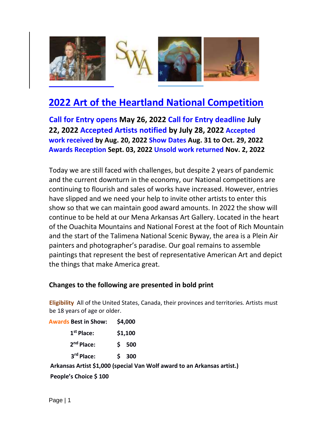

# **2022 Art of the Heartland National Competition**

**Call for Entry opens May 26, 2022 Call for Entry deadline July 22, 2022 Accepted Artists notified by July 28, 2022 Accepted work received by Aug. 20, 2022 Show Dates Aug. 31 to Oct. 29, 2022 Awards Reception Sept. 03, 2022 Unsold work returned Nov. 2, 2022**

Today we are still faced with challenges, but despite 2 years of pandemic and the current downturn in the economy, our National competitions are continuing to flourish and sales of works have increased. However, entries have slipped and we need your help to invite other artists to enter this show so that we can maintain good award amounts. In 2022 the show will continue to be held at our Mena Arkansas Art Gallery. Located in the heart of the Ouachita Mountains and National Forest at the foot of Rich Mountain and the start of the Talimena National Scenic Byway, the area is a Plein Air painters and photographer's paradise. Our goal remains to assemble paintings that represent the best of representative American Art and depict the things that make America great.

### **Changes to the following are presented in bold print**

**Eligibility** All of the United States, Canada, their provinces and territories. Artists must be 18 years of age or older.

**Awards Best in Show: \$4,000 st Place: \$1,100 nd Place: \$ 500 rd Place: \$ 300** 

**Arkansas Artist \$1,000 (special Van Wolf award to an Arkansas artist.)** 

**People's Choice \$ 100**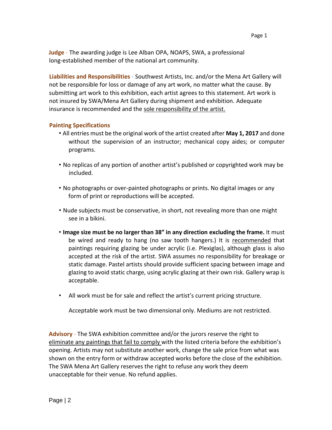**Judge** - The awarding judge is Lee Alban OPA, NOAPS, SWA, a professional long-established member of the national art community.

**Liabilities and Responsibilities** - Southwest Artists, Inc. and/or the Mena Art Gallery will not be responsible for loss or damage of any art work, no matter what the cause. By submitting art work to this exhibition, each artist agrees to this statement. Art work is not insured by SWA/Mena Art Gallery during shipment and exhibition. Adequate insurance is recommended and the sole responsibility of the artist.

#### **Painting Specifications**

- All entries must be the original work of the artist created after **May 1, 2017** and done without the supervision of an instructor; mechanical copy aides; or computer programs.
- No replicas of any portion of another artist's published or copyrighted work may be included.
- No photographs or over-painted photographs or prints. No digital images or any form of print or reproductions will be accepted.
- Nude subjects must be conservative, in short, not revealing more than one might see in a bikini.
- **Image size must be no larger than 38" in any direction excluding the frame.** It must be wired and ready to hang (no saw tooth hangers.) It is recommended that paintings requiring glazing be under acrylic (i.e. Plexiglas), although glass is also accepted at the risk of the artist. SWA assumes no responsibility for breakage or static damage. Pastel artists should provide sufficient spacing between image and glazing to avoid static charge, using acrylic glazing at their own risk. Gallery wrap is acceptable.
- All work must be for sale and reflect the artist's current pricing structure.

Acceptable work must be two dimensional only. Mediums are not restricted.

**Advisory** - The SWA exhibition committee and/or the jurors reserve the right to eliminate any paintings that fail to comply with the listed criteria before the exhibition's opening. Artists may not substitute another work, change the sale price from what was shown on the entry form or withdraw accepted works before the close of the exhibition. The SWA Mena Art Gallery reserves the right to refuse any work they deem unacceptable for their venue. No refund applies.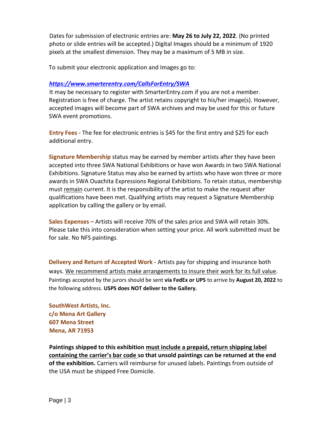Dates for submission of electronic entries are: **May 26 to July 22, 2022**. (No printed photo or slide entries will be accepted.) Digital Images should be a minimum of 1920 pixels at the smallest dimension. They may be a maximum of 5 MB in size.

To submit your electronic application and Images go to:

#### *https://www.smarterentry.com/CallsForEntry/SWA*

It may be necessary to register with SmarterEntry.com if you are not a member. Registration is free of charge. The artist retains copyright to his/her image(s). However, accepted images will become part of SWA archives and may be used for this or future SWA event promotions.

**Entry Fees -** The fee for electronic entries is \$45 for the first entry and \$25 for each additional entry.

**Signature Membership** status may be earned by member artists after they have been accepted into three SWA National Exhibitions or have won Awards in two SWA National Exhibitions. Signature Status may also be earned by artists who have won three or more awards in SWA Ouachita Expressions Regional Exhibitions. To retain status, membership must remain current. It is the responsibility of the artist to make the request after qualifications have been met. Qualifying artists may request a Signature Membership application by calling the gallery or by email.

**Sales Expenses –** Artists will receive 70% of the sales price and SWA will retain 30%. Please take this into consideration when setting your price. All work submitted must be for sale. No NFS paintings.

**Delivery and Return of Accepted Work** - Artists pay for shipping and insurance both ways. We recommend artists make arrangements to insure their work for its full value. Paintings accepted by the jurors should be sent **via FedEx or UPS** to arrive by **August 20, 2022** to the following address. **USPS does NOT deliver to the Gallery.**

**SouthWest Artists, Inc. c/o Mena Art Gallery 607 Mena Street Mena, AR 71953** 

**Paintings shipped to this exhibition must include a prepaid, return shipping label containing the carrier's bar code so that unsold paintings can be returned at the end of the exhibition.** Carriers will reimburse for unused labels. Paintings from outside of the USA must be shipped Free Domicile.